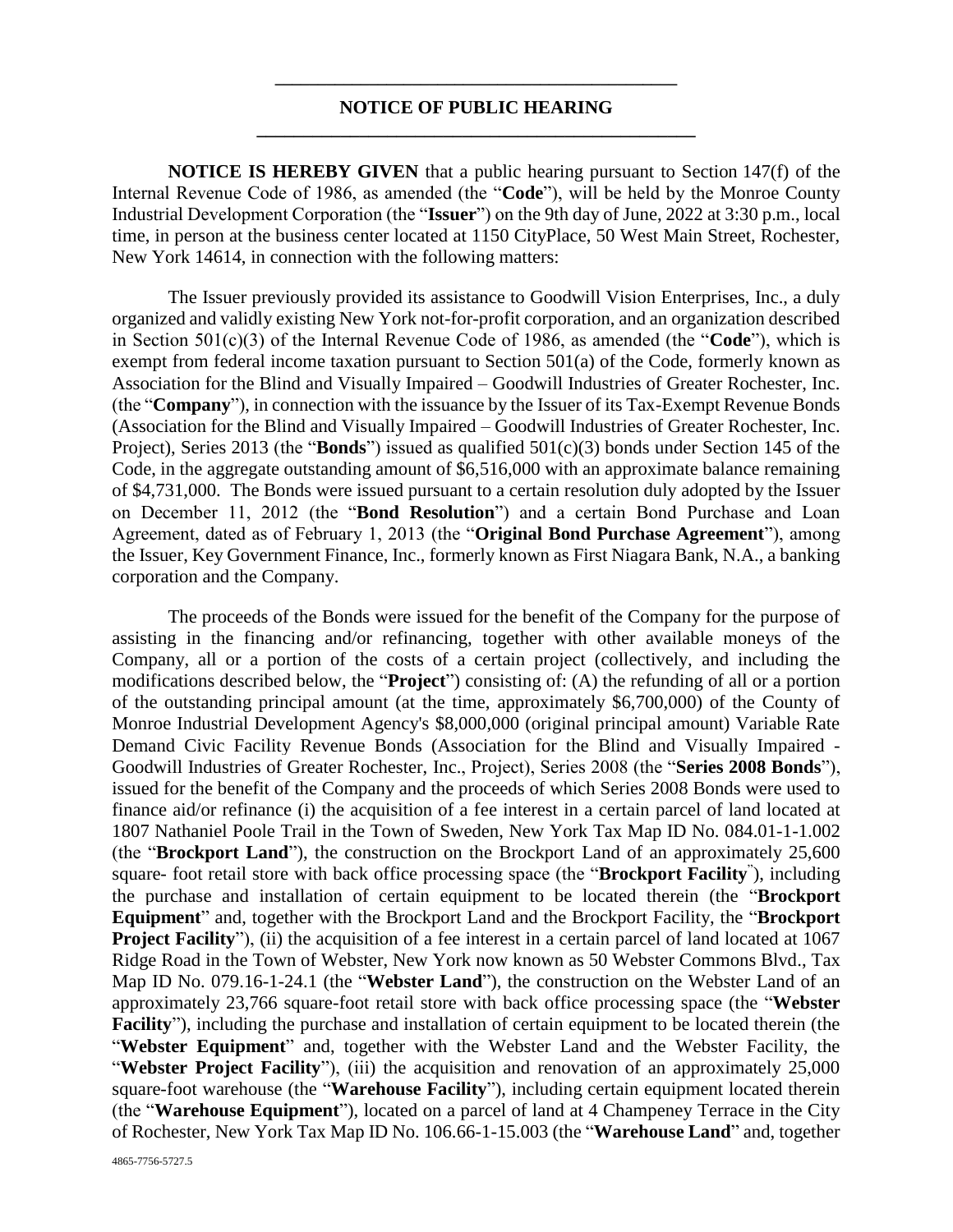## **\_\_\_\_\_\_\_\_\_\_\_\_\_\_\_\_\_\_\_\_\_\_\_\_\_\_\_\_\_\_\_\_\_\_\_\_\_\_\_\_\_\_\_\_\_\_\_ NOTICE OF PUBLIC HEARING \_\_\_\_\_\_\_\_\_\_\_\_\_\_\_\_\_\_\_\_\_\_\_\_\_\_\_\_\_\_\_\_\_\_\_\_\_\_\_\_\_\_\_\_\_\_\_**

**NOTICE IS HEREBY GIVEN** that a public hearing pursuant to Section 147(f) of the Internal Revenue Code of 1986, as amended (the "**Code**"), will be held by the Monroe County Industrial Development Corporation (the "**Issuer**") on the 9th day of June, 2022 at 3:30 p.m., local time, in person at the business center located at 1150 CityPlace, 50 West Main Street, Rochester, New York 14614, in connection with the following matters:

The Issuer previously provided its assistance to Goodwill Vision Enterprises, Inc., a duly organized and validly existing New York not-for-profit corporation, and an organization described in Section 501(c)(3) of the Internal Revenue Code of 1986, as amended (the "**Code**"), which is exempt from federal income taxation pursuant to Section 501(a) of the Code, formerly known as Association for the Blind and Visually Impaired – Goodwill Industries of Greater Rochester, Inc. (the "**Company**"), in connection with the issuance by the Issuer of its Tax-Exempt Revenue Bonds (Association for the Blind and Visually Impaired – Goodwill Industries of Greater Rochester, Inc. Project), Series 2013 (the "**Bonds**") issued as qualified 501(c)(3) bonds under Section 145 of the Code, in the aggregate outstanding amount of \$6,516,000 with an approximate balance remaining of \$4,731,000. The Bonds were issued pursuant to a certain resolution duly adopted by the Issuer on December 11, 2012 (the "**Bond Resolution**") and a certain Bond Purchase and Loan Agreement, dated as of February 1, 2013 (the "**Original Bond Purchase Agreement**"), among the Issuer, Key Government Finance, Inc., formerly known as First Niagara Bank, N.A., a banking corporation and the Company.

The proceeds of the Bonds were issued for the benefit of the Company for the purpose of assisting in the financing and/or refinancing, together with other available moneys of the Company, all or a portion of the costs of a certain project (collectively, and including the modifications described below, the "**Project**") consisting of: (A) the refunding of all or a portion of the outstanding principal amount (at the time, approximately \$6,700,000) of the County of Monroe Industrial Development Agency's \$8,000,000 (original principal amount) Variable Rate Demand Civic Facility Revenue Bonds (Association for the Blind and Visually Impaired - Goodwill Industries of Greater Rochester, Inc., Project), Series 2008 (the "**Series 2008 Bonds**"), issued for the benefit of the Company and the proceeds of which Series 2008 Bonds were used to finance aid/or refinance (i) the acquisition of a fee interest in a certain parcel of land located at 1807 Nathaniel Poole Trail in the Town of Sweden, New York Tax Map ID No. 084.01-1-1.002 (the "**Brockport Land**"), the construction on the Brockport Land of an approximately 25,600 square- foot retail store with back office processing space (the "**Brockport Facility**" ), including the purchase and installation of certain equipment to be located therein (the "**Brockport Equipment**" and, together with the Brockport Land and the Brockport Facility, the "**Brockport Project Facility**"), (ii) the acquisition of a fee interest in a certain parcel of land located at 1067 Ridge Road in the Town of Webster, New York now known as 50 Webster Commons Blvd., Tax Map ID No. 079.16-1-24.1 (the "**Webster Land**"), the construction on the Webster Land of an approximately 23,766 square-foot retail store with back office processing space (the "**Webster Facility**"), including the purchase and installation of certain equipment to be located therein (the "**Webster Equipment**" and, together with the Webster Land and the Webster Facility, the "Webster Project Facility"), (iii) the acquisition and renovation of an approximately 25,000 square-foot warehouse (the "**Warehouse Facility**"), including certain equipment located therein (the "**Warehouse Equipment**"), located on a parcel of land at 4 Champeney Terrace in the City of Rochester, New York Tax Map ID No. 106.66-1-15.003 (the "**Warehouse Land**" and, together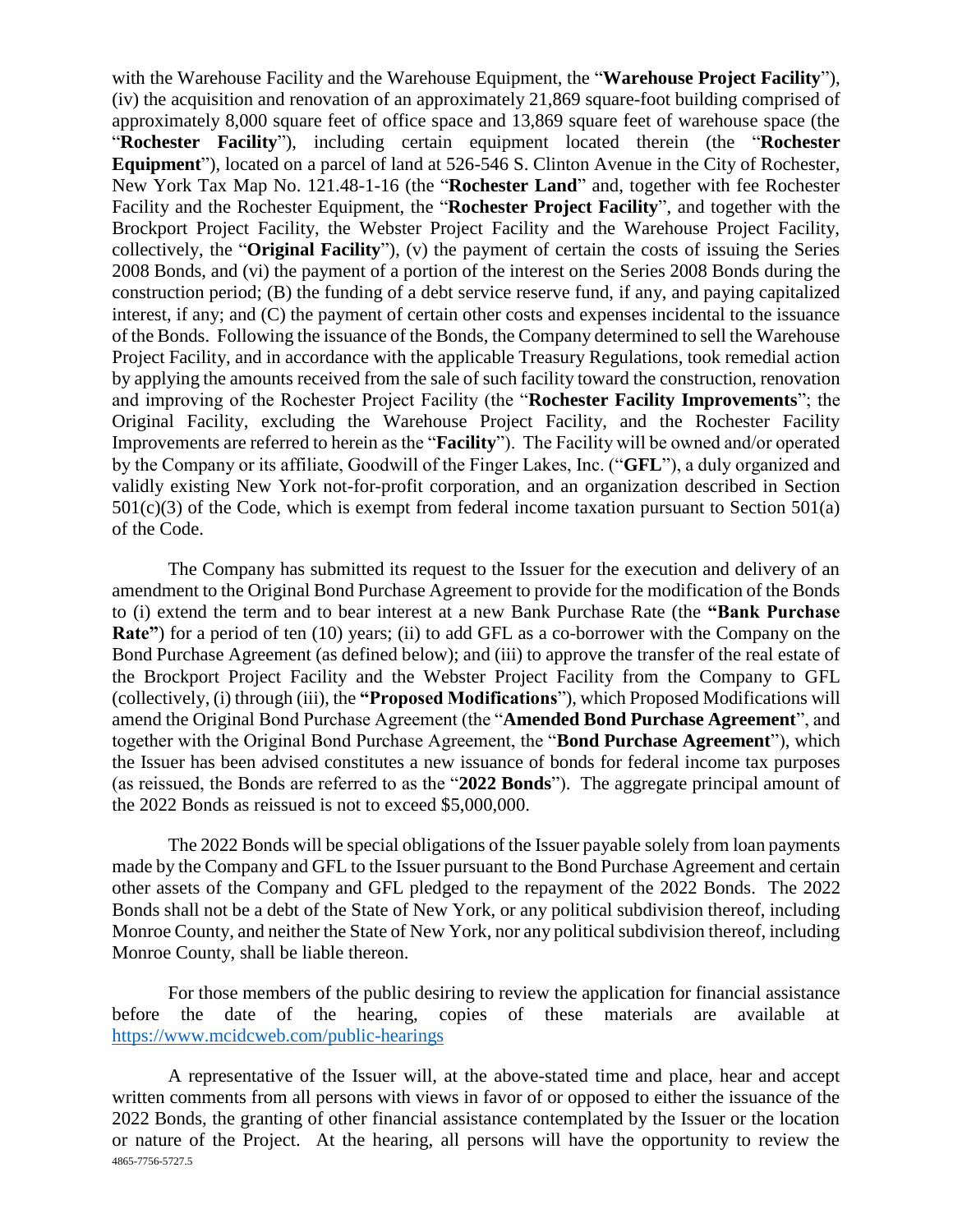with the Warehouse Facility and the Warehouse Equipment, the "**Warehouse Project Facility**"), (iv) the acquisition and renovation of an approximately 21,869 square-foot building comprised of approximately 8,000 square feet of office space and 13,869 square feet of warehouse space (the "**Rochester Facility**"), including certain equipment located therein (the "**Rochester Equipment**"), located on a parcel of land at 526-546 S. Clinton Avenue in the City of Rochester, New York Tax Map No. 121.48-1-16 (the "**Rochester Land**" and, together with fee Rochester Facility and the Rochester Equipment, the "**Rochester Project Facility**", and together with the Brockport Project Facility, the Webster Project Facility and the Warehouse Project Facility, collectively, the "**Original Facility**"), (v) the payment of certain the costs of issuing the Series 2008 Bonds, and (vi) the payment of a portion of the interest on the Series 2008 Bonds during the construction period; (B) the funding of a debt service reserve fund, if any, and paying capitalized interest, if any; and (C) the payment of certain other costs and expenses incidental to the issuance of the Bonds. Following the issuance of the Bonds, the Company determined to sell the Warehouse Project Facility, and in accordance with the applicable Treasury Regulations, took remedial action by applying the amounts received from the sale of such facility toward the construction, renovation and improving of the Rochester Project Facility (the "**Rochester Facility Improvements**"; the Original Facility, excluding the Warehouse Project Facility, and the Rochester Facility Improvements are referred to herein as the "**Facility**"). The Facility will be owned and/or operated by the Company or its affiliate, Goodwill of the Finger Lakes, Inc. ("**GFL**"), a duly organized and validly existing New York not-for-profit corporation, and an organization described in Section  $501(c)(3)$  of the Code, which is exempt from federal income taxation pursuant to Section  $501(a)$ of the Code.

The Company has submitted its request to the Issuer for the execution and delivery of an amendment to the Original Bond Purchase Agreement to provide for the modification of the Bonds to (i) extend the term and to bear interest at a new Bank Purchase Rate (the **"Bank Purchase Rate**") for a period of ten (10) years; (ii) to add GFL as a co-borrower with the Company on the Bond Purchase Agreement (as defined below); and (iii) to approve the transfer of the real estate of the Brockport Project Facility and the Webster Project Facility from the Company to GFL (collectively, (i) through (iii), the **"Proposed Modifications**"), which Proposed Modifications will amend the Original Bond Purchase Agreement (the "**Amended Bond Purchase Agreement**", and together with the Original Bond Purchase Agreement, the "**Bond Purchase Agreement**"), which the Issuer has been advised constitutes a new issuance of bonds for federal income tax purposes (as reissued, the Bonds are referred to as the "**2022 Bonds**"). The aggregate principal amount of the 2022 Bonds as reissued is not to exceed \$5,000,000.

The 2022 Bonds will be special obligations of the Issuer payable solely from loan payments made by the Company and GFL to the Issuer pursuant to the Bond Purchase Agreement and certain other assets of the Company and GFL pledged to the repayment of the 2022 Bonds. The 2022 Bonds shall not be a debt of the State of New York, or any political subdivision thereof, including Monroe County, and neither the State of New York, nor any political subdivision thereof, including Monroe County, shall be liable thereon.

For those members of the public desiring to review the application for financial assistance before the date of the hearing, copies of these materials are available at <https://www.mcidcweb.com/public-hearings>

4865-7756-5727.5 A representative of the Issuer will, at the above-stated time and place, hear and accept written comments from all persons with views in favor of or opposed to either the issuance of the 2022 Bonds, the granting of other financial assistance contemplated by the Issuer or the location or nature of the Project. At the hearing, all persons will have the opportunity to review the